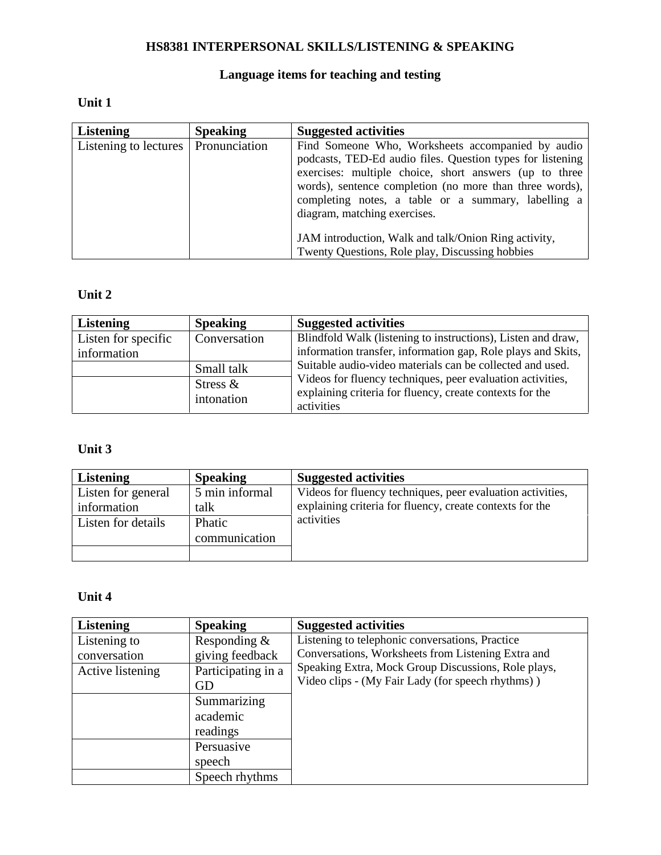## **HS8381 INTERPERSONAL SKILLS/LISTENING & SPEAKING**

# **Language items for teaching and testing**

### **Unit 1**

| <b>Listening</b>                      | <b>Speaking</b> | <b>Suggested activities</b>                                                                                                                                                                                                                                                                                                 |
|---------------------------------------|-----------------|-----------------------------------------------------------------------------------------------------------------------------------------------------------------------------------------------------------------------------------------------------------------------------------------------------------------------------|
| Listening to lectures   Pronunciation |                 | Find Someone Who, Worksheets accompanied by audio<br>podcasts, TED-Ed audio files. Question types for listening<br>exercises: multiple choice, short answers (up to three<br>words), sentence completion (no more than three words),<br>completing notes, a table or a summary, labelling a<br>diagram, matching exercises. |
|                                       |                 | JAM introduction, Walk and talk/Onion Ring activity,                                                                                                                                                                                                                                                                        |
|                                       |                 | Twenty Questions, Role play, Discussing hobbies                                                                                                                                                                                                                                                                             |

### **Unit 2**

| <b>Listening</b>    | <b>Speaking</b>           | <b>Suggested activities</b>                                                                                            |
|---------------------|---------------------------|------------------------------------------------------------------------------------------------------------------------|
| Listen for specific | Conversation              | Blindfold Walk (listening to instructions), Listen and draw,                                                           |
| information         |                           | information transfer, information gap, Role plays and Skits,                                                           |
|                     | Small talk                | Suitable audio-video materials can be collected and used.                                                              |
|                     | Stress $\&$<br>intonation | Videos for fluency techniques, peer evaluation activities,<br>explaining criteria for fluency, create contexts for the |
|                     |                           | activities                                                                                                             |

### **Unit 3**

| <b>Listening</b>   | <b>Speaking</b> | <b>Suggested activities</b>                                |
|--------------------|-----------------|------------------------------------------------------------|
| Listen for general | 5 min informal  | Videos for fluency techniques, peer evaluation activities, |
| information        | talk            | explaining criteria for fluency, create contexts for the   |
| Listen for details | Phatic          | activities                                                 |
|                    | communication   |                                                            |
|                    |                 |                                                            |

# **Unit 4**

| <b>Listening</b> | <b>Speaking</b>    | <b>Suggested activities</b>                         |
|------------------|--------------------|-----------------------------------------------------|
| Listening to     | Responding $&$     | Listening to telephonic conversations, Practice     |
| conversation     | giving feedback    | Conversations, Worksheets from Listening Extra and  |
| Active listening | Participating in a | Speaking Extra, Mock Group Discussions, Role plays, |
|                  | GD                 | Video clips - (My Fair Lady (for speech rhythms))   |
|                  | Summarizing        |                                                     |
|                  | academic           |                                                     |
|                  | readings           |                                                     |
|                  | Persuasive         |                                                     |
|                  | speech             |                                                     |
|                  | Speech rhythms     |                                                     |